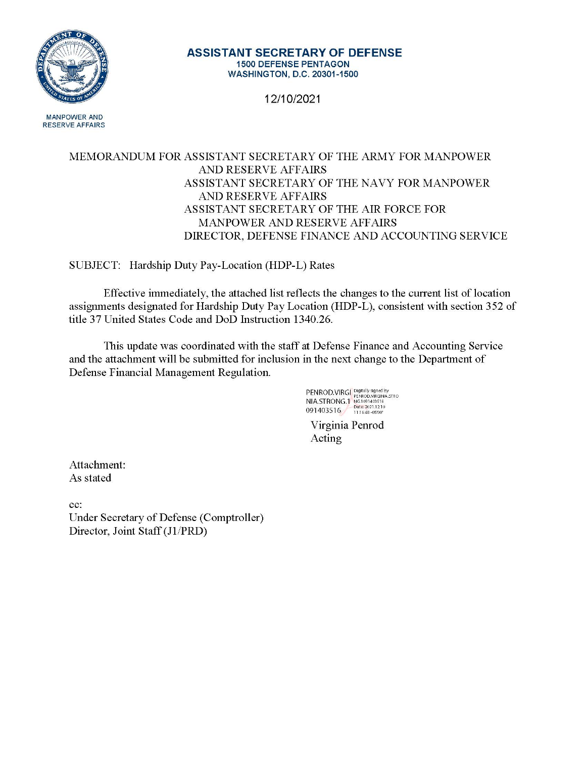

#### **ASSISTANT SECRETARY OF DEFENSE 1500 DEFENSE PENTAGON WASHINGTON, D.C. 20301-1500**

12/10/2021

**MANPOWER AND RESERVE AFFAIRS** 

#### MEMORANDUM FOR ASSISTANT SECRETARY OF THE ARMY FOR MANPOWER **AND RESERVE AFFAIRS** ASSISTANT SECRETARY OF THE NAVY FOR MANPOWER **AND RESERVE AFFAIRS** ASSISTANT SECRETARY OF THE AIR FORCE FOR MANPOWER AND RESERVE AFFAIRS DIRECTOR, DEFENSE FINANCE AND ACCOUNTING SERVICE

SUBJECT: Hardship Duty Pay-Location (HDP-L) Rates

Effective immediately, the attached list reflects the changes to the current list of location assignments designated for Hardship Duty Pay Location (HDP-L), consistent with section 352 of title 37 United States Code and DoD Instruction 1340.26.

This update was coordinated with the staff at Defense Finance and Accounting Service and the attachment will be submitted for inclusion in the next change to the Department of Defense Financial Management Regulation.

**PENROD.VIRGI** Digitally signed by<br>NIA.STRONG.1 PENROD.VIRGINA.STRO<br>091403516 13862021.12.10<br>091403516 11.16:48 -0500'

Virginia Penrod Acting

Attachment: As stated

cc: Under Secretary of Defense (Comptroller) Director, Joint Staff (J1/PRD)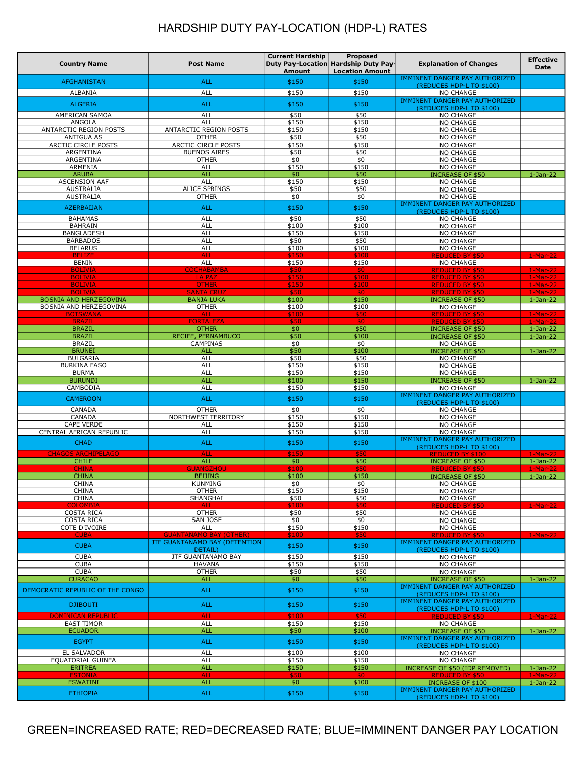| <b>Country Name</b>                                     | <b>Post Name</b>                         | <b>Current Hardship</b><br>Amount | Proposed<br>Duty Pay-Location Hardship Duty Pay-<br><b>Location Amount</b> | <b>Explanation of Changes</b>                                     | <b>Effective</b><br><b>Date</b> |
|---------------------------------------------------------|------------------------------------------|-----------------------------------|----------------------------------------------------------------------------|-------------------------------------------------------------------|---------------------------------|
| <b>AFGHANISTAN</b>                                      | <b>ALL</b>                               | \$150                             | \$150                                                                      | IMMINENT DANGER PAY AUTHORIZED                                    |                                 |
| ALBANIA                                                 | ALL                                      | \$150                             | \$150                                                                      | (REDUCES HDP-L TO \$100)<br><b>NO CHANGE</b>                      |                                 |
| <b>ALGERIA</b>                                          | <b>ALL</b>                               | \$150                             | \$150                                                                      | IMMINENT DANGER PAY AUTHORIZED<br>(REDUCES HDP-L TO \$100)        |                                 |
| AMERICAN SAMOA                                          | <b>ALL</b>                               | \$50                              | \$50                                                                       | <b>NO CHANGE</b>                                                  |                                 |
| ANGOLA                                                  | <b>ALL</b>                               | \$150                             | \$150                                                                      | <b>NO CHANGE</b>                                                  |                                 |
| ANTARCTIC REGION POSTS<br><b>ANTIGUA AS</b>             | ANTARCTIC REGION POSTS<br><b>OTHER</b>   | \$150<br>\$50                     | \$150<br>\$50                                                              | <b>NO CHANGE</b><br><b>NO CHANGE</b>                              |                                 |
| ARCTIC CIRCLE POSTS                                     | ARCTIC CIRCLE POSTS                      | \$150                             | \$150                                                                      | <b>NO CHANGE</b>                                                  |                                 |
| ARGENTINA<br>ARGENTINA                                  | <b>BUENOS AIRES</b><br><b>OTHER</b>      | \$50<br>\$0                       | \$50<br>\$0                                                                | <b>NO CHANGE</b><br><b>NO CHANGE</b>                              |                                 |
| ARMENIA                                                 | ALL                                      | \$150                             | \$150                                                                      | <b>NO CHANGE</b>                                                  |                                 |
| <b>ARUBA</b>                                            | <b>ALL</b>                               | \$0                               | \$50                                                                       | <b>INCREASE OF \$50</b>                                           | $1-Jan-22$                      |
| <b>ASCENSION AAF</b><br><b>AUSTRALIA</b>                | <b>ALL</b><br><b>ALICE SPRINGS</b>       | \$150<br>\$50                     | \$150<br>\$50                                                              | <b>NO CHANGE</b><br>NO CHANGE                                     |                                 |
| <b>AUSTRALIA</b>                                        | <b>OTHER</b>                             | \$0                               | \$0                                                                        | <b>NO CHANGE</b>                                                  |                                 |
| <b>AZERBAIJAN</b>                                       | <b>ALL</b>                               | \$150                             | \$150                                                                      | IMMINENT DANGER PAY AUTHORIZED<br>(REDUCES HDP-L TO \$100)        |                                 |
| <b>BAHAMAS</b>                                          | <b>ALL</b>                               | \$50                              | \$50                                                                       | <b>NO CHANGE</b>                                                  |                                 |
| <b>BAHRAIN</b><br>BANGLADESH                            | <b>ALL</b><br><b>ALL</b>                 | \$100<br>\$150                    | \$100<br>\$150                                                             | <b>NO CHANGE</b><br><b>NO CHANGE</b>                              |                                 |
| <b>BARBADOS</b>                                         | <b>ALL</b>                               | \$50                              | \$50                                                                       | <b>NO CHANGE</b>                                                  |                                 |
| <b>BELARUS</b><br><b>BELIZE</b>                         | <b>ALL</b><br><b>ALL</b>                 | \$100<br>\$150                    | \$100<br>\$100                                                             | <b>NO CHANGE</b><br><b>REDUCED BY \$50</b>                        | 1-Mar-22                        |
| <b>BENIN</b>                                            | ALL                                      | \$150                             | \$150                                                                      | <b>NO CHANGE</b>                                                  |                                 |
| <b>BOLIVIA</b>                                          | <b>COCHABAMBA</b>                        | \$50                              | \$0                                                                        | <b>REDUCED BY \$50</b>                                            | 1-Mar-22                        |
| <b>BOLIVIA</b><br><b>BOLIVIA</b>                        | <b>LA PAZ</b><br><b>OTHER</b>            | \$150<br>\$150                    | \$100<br>\$100                                                             | <b>REDUCED BY \$50</b><br><b>REDUCED BY \$50</b>                  | 1-Mar-22<br>$1-Mar-22$          |
| <b>BOLIVIA</b>                                          | <b>SANTA CRUZ</b>                        | \$50                              | \$0                                                                        | <b>REDUCED BY \$50</b>                                            | $1-Mar-22$                      |
| <b>BOSNIA AND HERZEGOVINA</b><br>BOSNIA AND HERZEGOVINA | <b>BANJA LUKA</b><br><b>OTHER</b>        | \$100<br>\$100                    | \$150<br>\$100                                                             | <b>INCREASE OF \$50</b><br>NO CHANGE                              | $1-Jan-22$                      |
| <b>BOTSWANA</b>                                         | <b>ALL</b>                               | \$100                             | \$50                                                                       | <b>REDUCED BY \$50</b>                                            | $1-Mar-22$                      |
| <b>BRAZIL</b>                                           | <b>FORTALEZA</b>                         | \$50                              | \$0                                                                        | <b>REDUCED BY \$50</b>                                            | $1-Mar-22$                      |
| <b>BRAZIL</b><br><b>BRAZIL</b>                          | <b>OTHER</b><br>RECIFE, PERNAMBUCO       | \$0<br>\$50                       | \$50<br>\$100                                                              | <b>INCREASE OF \$50</b><br><b>INCREASE OF \$50</b>                | $1-Jan-22$<br>$1-Jan-22$        |
| <b>BRAZIL</b>                                           | <b>CAMPINAS</b>                          | \$0                               | \$0                                                                        | <b>NO CHANGE</b>                                                  |                                 |
| <b>BRUNEI</b><br><b>BULGARIA</b>                        | <b>ALL</b><br>ALL                        | \$50<br>\$50                      | \$100<br>\$50                                                              | <b>INCREASE OF \$50</b><br>NO CHANGE                              | $1-Jan-22$                      |
| <b>BURKINA FASO</b>                                     | <b>ALL</b>                               | \$150                             | \$150                                                                      | <b>NO CHANGE</b>                                                  |                                 |
| <b>BURMA</b><br><b>BURUNDI</b>                          | ALL<br><b>ALL</b>                        | \$150<br>\$100                    | \$150<br>\$150                                                             | <b>NO CHANGE</b><br><b>INCREASE OF \$50</b>                       | $1-Jan-22$                      |
| CAMBODIA                                                | <b>ALL</b>                               | \$150                             | \$150                                                                      | <b>NO CHANGE</b>                                                  |                                 |
| <b>CAMEROON</b>                                         | <b>ALL</b>                               | \$150                             | \$150                                                                      | <b>IMMINENT DANGER PAY AUTHORIZED</b>                             |                                 |
| CANADA                                                  | <b>OTHER</b>                             | \$0                               | \$0                                                                        | (REDUCES HDP-L TO \$100)<br><b>NO CHANGE</b>                      |                                 |
| CANADA                                                  | NORTHWEST TERRITORY                      | \$150                             | \$150                                                                      | <b>NO CHANGE</b>                                                  |                                 |
| <b>CAPE VERDE</b><br>CENTRAL AFRICAN REPUBLIC           | <b>ALL</b><br><b>ALL</b>                 | \$150<br>\$150                    | \$150<br>\$150                                                             | <b>NO CHANGE</b><br><b>NO CHANGE</b>                              |                                 |
| <b>CHAD</b>                                             | <b>ALL</b>                               | \$150                             | \$150                                                                      | IMMINENT DANGER PAY AUTHORIZED                                    |                                 |
| <b>CHAGOS ARCHIPELAGO</b>                               | <b>ALL</b>                               | \$150                             | \$50                                                                       | (REDUCES HDP-L TO \$100)<br><b>REDUCED BY \$100</b>               | $1-Mar-22$                      |
| <b>CHILE</b>                                            | ALL                                      | \$0                               | \$50                                                                       | <b>INCREASE OF \$50</b>                                           | $1-Jan-22$                      |
| <b>CHINA</b><br><b>CHINA</b>                            | <b>GUANGZHOU</b><br><b>BEIJING</b>       | \$100<br>\$100                    | \$50<br>\$150                                                              | <b>REDUCED BY \$50</b><br><b>INCREASE OF \$50</b>                 | $1-Mar-22$<br>$1-Jan-22$        |
| <b>CHINA</b>                                            | <b>KUNMING</b>                           | \$0                               | \$0                                                                        | <b>NO CHANGE</b>                                                  |                                 |
| <b>CHINA</b><br><b>CHINA</b>                            | <b>OTHER</b><br>SHANGHAI                 | \$150                             | \$150                                                                      | NO CHANGE<br><b>NO CHANGE</b>                                     |                                 |
| <b>COLOMBIA</b>                                         | <b>ALL</b>                               | \$50<br>\$100                     | \$50<br>\$50                                                               | <b>REDUCED BY \$50</b>                                            | $1-Mar-22$                      |
| <b>COSTA RICA</b>                                       | <b>OTHER</b>                             | \$50                              | \$50                                                                       | NO CHANGE                                                         |                                 |
| <b>COSTA RICA</b><br>COTE D'IVOIRE                      | SAN JOSE<br>ALL                          | \$0<br>\$150                      | \$0<br>\$150                                                               | NO CHANGE<br>NO CHANGE                                            |                                 |
| <b>CUBA</b>                                             | <b>GUANTANAMO BAY (OTHER)</b>            | \$100                             | \$50                                                                       | <b>REDUCED BY \$50</b>                                            | $1-Mar-22$                      |
| <b>CUBA</b>                                             | JTF GUANTANAMO BAY (DETENTION<br>DETAIL) | \$150                             | \$150                                                                      | <b>IMMINENT DANGER PAY AUTHORIZED</b><br>(REDUCES HDP-L TO \$100) |                                 |
| <b>CUBA</b>                                             | <b>JTF GUANTANAMO BAY</b>                | \$150                             | \$150                                                                      | NO CHANGE                                                         |                                 |
| <b>CUBA</b><br><b>CUBA</b>                              | <b>HAVANA</b><br><b>OTHER</b>            | \$150<br>\$50                     | \$150<br>\$50                                                              | NO CHANGE<br>NO CHANGE                                            |                                 |
| <b>CURACAO</b>                                          | <b>ALL</b>                               | \$0\$                             | \$50                                                                       | <b>INCREASE OF \$50</b>                                           | $1-Jan-22$                      |
| DEMOCRATIC REPUBLIC OF THE CONGO                        | <b>ALL</b>                               | \$150                             | \$150                                                                      | IMMINENT DANGER PAY AUTHORIZED                                    |                                 |
|                                                         |                                          |                                   |                                                                            | (REDUCES HDP-L TO \$100)<br>IMMINENT DANGER PAY AUTHORIZED        |                                 |
| <b>DJIBOUTI</b>                                         | <b>ALL</b>                               | \$150                             | \$150                                                                      | (REDUCES HDP-L TO \$100)                                          |                                 |
| <b>DOMINICAN REPUBLIC</b><br><b>EAST TIMOR</b>          | <b>ALL</b><br>ALL                        | \$100<br>\$150                    | \$50<br>\$150                                                              | <b>REDUCED BY \$50</b><br>NO CHANGE                               | $1-Mar-22$                      |
| <b>ECUADOR</b>                                          | <b>ALL</b>                               | \$50                              | \$100                                                                      | <b>INCREASE OF \$50</b>                                           | $1-Jan-22$                      |
| <b>EGYPT</b>                                            | <b>ALL</b>                               | \$150                             | \$150                                                                      | IMMINENT DANGER PAY AUTHORIZED<br>(REDUCES HDP-L TO \$100)        |                                 |
| <b>EL SALVADOR</b>                                      | <b>ALL</b>                               | \$100                             | \$100                                                                      | NO CHANGE                                                         |                                 |
| EQUATORIAL GUINEA                                       | ALL                                      | \$150                             | \$150                                                                      | NO CHANGE                                                         |                                 |
| <b>ERITREA</b><br><b>ESTONIA</b>                        | <b>ALL</b><br><b>ALL</b>                 | \$150<br>\$50                     | \$150<br>\$0                                                               | INCREASE OF \$50 (IDP REMOVED)<br><b>REDUCED BY \$50</b>          | $1-Jan-22$<br>$1-Mar-22$        |
| <b>ESWATINI</b>                                         | <b>ALL</b>                               | \$0                               | \$100                                                                      | <b>INCREASE OF \$100</b>                                          | $1-Jan-22$                      |
| <b>ETHIOPIA</b>                                         | <b>ALL</b>                               | \$150                             | \$150                                                                      | IMMINENT DANGER PAY AUTHORIZED<br>(REDUCES HDP-L TO \$100)        |                                 |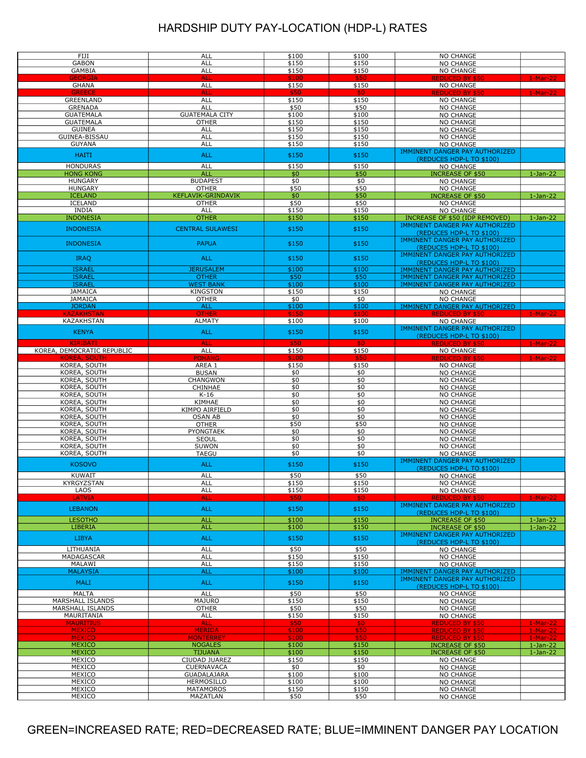| FIJI                       | <b>ALL</b>              | \$100 | \$100 | <b>NO CHANGE</b>                      |            |
|----------------------------|-------------------------|-------|-------|---------------------------------------|------------|
| <b>GABON</b>               | ALL                     | \$150 | \$150 | <b>NO CHANGE</b>                      |            |
| <b>GAMBIA</b>              | ALL                     | \$150 | \$150 | <b>NO CHANGE</b>                      |            |
| GEORGIA                    | <b>ALL</b>              | \$100 | \$50  | <b>REDUCED BY \$50</b>                | $1-Mar-22$ |
| <b>GHANA</b>               | ALL                     | \$150 | \$150 | <b>NO CHANGE</b>                      |            |
| <b>GREECE</b>              | <b>ALL</b>              | \$50  | \$0   | <b>REDUCED BY \$50</b>                | $1-Mar-22$ |
| <b>GREENLAND</b>           | <b>ALL</b>              | \$150 | \$150 | <b>NO CHANGE</b>                      |            |
|                            |                         |       |       |                                       |            |
| <b>GRENADA</b>             | ALL                     | \$50  | \$50  | <b>NO CHANGE</b>                      |            |
| <b>GUATEMALA</b>           | <b>GUATEMALA CITY</b>   | \$100 | \$100 | <b>NO CHANGE</b>                      |            |
| <b>GUATEMALA</b>           | <b>OTHER</b>            | \$150 | \$150 | <b>NO CHANGE</b>                      |            |
| <b>GUINEA</b>              | ALL                     | \$150 | \$150 | <b>NO CHANGE</b>                      |            |
| GUINEA-BISSAU              | ALL                     | \$150 | \$150 | <b>NO CHANGE</b>                      |            |
| <b>GUYANA</b>              | ALL                     | \$150 | \$150 | <b>NO CHANGE</b>                      |            |
|                            |                         |       |       | IMMINENT DANGER PAY AUTHORIZED        |            |
| <b>HAITI</b>               | <b>ALL</b>              | \$150 | \$150 |                                       |            |
|                            |                         |       |       | (REDUCES HDP-L TO \$100)              |            |
| <b>HONDURAS</b>            | ALL                     | \$150 | \$150 | <b>NO CHANGE</b>                      |            |
| <b>HONG KONG</b>           | <b>ALL</b>              | \$0   | \$50  | <b>INCREASE OF \$50</b>               | $1-Jan-22$ |
| <b>HUNGARY</b>             | <b>BUDAPEST</b>         | \$0   | \$0   | <b>NO CHANGE</b>                      |            |
| <b>HUNGARY</b>             | <b>OTHER</b>            | \$50  | \$50  | <b>NO CHANGE</b>                      |            |
| <b>ICELAND</b>             | KEFLAVIK-GRINDAVIK      | \$0   | \$50  | <b>INCREASE OF \$50</b>               | $1-Jan-22$ |
| <b>ICELAND</b>             | <b>OTHER</b>            | \$50  | \$50  | <b>NO CHANGE</b>                      |            |
| <b>INDIA</b>               | <b>ALL</b>              | \$150 | \$150 | <b>NO CHANGE</b>                      |            |
|                            |                         |       |       |                                       |            |
| <b>INDONESIA</b>           | <b>OTHER</b>            | \$150 | \$150 | INCREASE OF \$50 (IDP REMOVED)        | $1-Jan-22$ |
| <b>INDONESIA</b>           | <b>CENTRAL SULAWESI</b> | \$150 | \$150 | IMMINENT DANGER PAY AUTHORIZED        |            |
|                            |                         |       |       | (REDUCES HDP-L TO \$100)              |            |
|                            |                         |       |       | IMMINENT DANGER PAY AUTHORIZED        |            |
| <b>INDONESIA</b>           | <b>PAPUA</b>            | \$150 | \$150 | (REDUCES HDP-L TO \$100)              |            |
|                            |                         |       |       | IMMINENT DANGER PAY AUTHORIZED        |            |
| <b>IRAQ</b>                | <b>ALL</b>              | \$150 | \$150 |                                       |            |
|                            |                         |       |       | (REDUCES HDP-L TO \$100)              |            |
| <b>ISRAEL</b>              | <b>JERUSALEM</b>        | \$100 | \$100 | IMMINENT DANGER PAY AUTHORIZED        |            |
| <b>ISRAEL</b>              | <b>OTHER</b>            | \$50  | \$50  | IMMINENT DANGER PAY AUTHORIZED        |            |
| <b>ISRAEL</b>              | <b>WEST BANK</b>        | \$100 | \$100 | IMMINENT DANGER PAY AUTHORIZED        |            |
| <b>JAMAICA</b>             | <b>KINGSTON</b>         | \$150 | \$150 | <b>NO CHANGE</b>                      |            |
| <b>JAMAICA</b>             | <b>OTHER</b>            | \$0   | \$0   | <b>NO CHANGE</b>                      |            |
| <b>JORDAN</b>              | <b>ALL</b>              | \$100 | \$100 | IMMINENT DANGER PAY AUTHORIZED        |            |
| <b>KAZAKHSTAN</b>          | <b>OTHER</b>            |       |       |                                       |            |
|                            |                         | \$150 | \$100 | <b>REDUCED BY \$50</b>                | $1-Mar-22$ |
| KAZAKHSTAN                 | <b>ALMATY</b>           | \$100 | \$100 | <b>NO CHANGE</b>                      |            |
| <b>KENYA</b>               | <b>ALL</b>              | \$150 | \$150 | IMMINENT DANGER PAY AUTHORIZED        |            |
|                            |                         |       |       | (REDUCES HDP-L TO \$100)              |            |
| <b>KIRIBATI</b>            | <b>ALL</b>              | \$50  | \$0   | <b>REDUCED BY \$50</b>                | $1-Mar-22$ |
| KOREA, DEMOCRATIC REPUBLIC | <b>ALL</b>              | \$150 | \$150 | <b>NO CHANGE</b>                      |            |
| <b>KOREA, SOUTH</b>        | <b>POHANG</b>           | \$100 | \$50  | <b>REDUCED BY \$50</b>                | $1-Mar-22$ |
|                            |                         |       |       |                                       |            |
| KOREA, SOUTH               | AREA 1                  | \$150 | \$150 | <b>NO CHANGE</b>                      |            |
| KOREA, SOUTH               | <b>BUSAN</b>            | \$0   | \$0   | <b>NO CHANGE</b>                      |            |
| KOREA, SOUTH               | CHANGWON                | \$0   | \$0   | <b>NO CHANGE</b>                      |            |
| KOREA, SOUTH               | CHINHAE                 | \$0   | \$0   | <b>NO CHANGE</b>                      |            |
| KOREA, SOUTH               | $K-16$                  | \$0   | \$0   | <b>NO CHANGE</b>                      |            |
| KOREA, SOUTH               | KIMHAE                  | \$0   | \$0   | <b>NO CHANGE</b>                      |            |
| KOREA, SOUTH               | KIMPO AIRFIELD          | \$0   | \$0   | <b>NO CHANGE</b>                      |            |
|                            |                         |       |       |                                       |            |
| KOREA, SOUTH               | <b>OSAN AB</b>          | \$0   | \$0   | <b>NO CHANGE</b>                      |            |
| KOREA, SOUTH               | <b>OTHER</b>            | \$50  | \$50  | <b>NO CHANGE</b>                      |            |
| KOREA, SOUTH               | PYONGTAEK               | \$0   | \$0   | <b>NO CHANGE</b>                      |            |
| KOREA, SOUTH               | SEOUL                   | \$0   | \$0   | <b>NO CHANGE</b>                      |            |
| KOREA, SOUTH               | SUWON                   | \$0   | \$0   | <b>NO CHANGE</b>                      |            |
| KOREA, SOUTH               | <b>TAEGU</b>            | \$0   | \$0   | <b>NO CHANGE</b>                      |            |
|                            |                         |       |       | IMMINENT DANGER PAY AUTHORIZED        |            |
| <b>KOSOVO</b>              | <b>ALL</b>              | \$150 | \$150 |                                       |            |
|                            |                         |       |       | (REDUCES HDP-L TO \$100)              |            |
| KUWAIT                     | ALL                     | \$50  | \$50  | <b>NO CHANGE</b>                      |            |
| KYRGYZSTAN                 | <b>ALL</b>              | \$150 | \$150 | <b>NO CHANGE</b>                      |            |
| LAOS                       | <b>ALL</b>              | \$150 | \$150 | NO CHANGE                             |            |
| <b>LATVIA</b>              | ALL                     |       | \$0.  | <b>REDUCED BY \$50</b>                | $1-Mar-22$ |
|                            |                         |       |       | IMMINENT DANGER PAY AUTHORIZED        |            |
| <b>LEBANON</b>             | <b>ALL</b>              | \$150 | \$150 | (REDUCES HDP-L TO \$100)              |            |
|                            |                         |       |       |                                       |            |
| <b>LESOTHO</b>             | <b>ALL</b>              | \$100 | \$150 | <b>INCREASE OF \$50</b>               | $1-Jan-22$ |
| LIBERIA                    | <b>ALL</b>              | \$100 | \$150 | <b>INCREASE OF \$50</b>               | $1-Jan-22$ |
| <b>LIBYA</b>               | <b>ALL</b>              | \$150 | \$150 | IMMINENT DANGER PAY AUTHORIZED        |            |
|                            |                         |       |       | (REDUCES HDP-L TO \$100)              |            |
| LITHUANIA                  | ALL                     | \$50  | \$50  | <b>NO CHANGE</b>                      |            |
| MADAGASCAR                 | ALL                     | \$150 | \$150 | <b>NO CHANGE</b>                      |            |
| MALAWI                     | <b>ALL</b>              | \$150 | \$150 | <b>NO CHANGE</b>                      |            |
|                            |                         |       |       |                                       |            |
| <b>MALAYSIA</b>            | <b>ALL</b>              | \$100 | \$100 | <b>IMMINENT DANGER PAY AUTHORIZED</b> |            |
| <b>MALI</b>                | <b>ALL</b>              | \$150 | \$150 | IMMINENT DANGER PAY AUTHORIZED        |            |
|                            |                         |       |       | (REDUCES HDP-L TO \$100)              |            |
| <b>MALTA</b>               | ALL                     | \$50  | \$50  | <b>NO CHANGE</b>                      |            |
| MARSHALL ISLANDS           | <b>MAJURO</b>           | \$150 | \$150 | <b>NO CHANGE</b>                      |            |
| MARSHALL ISLANDS           | <b>OTHER</b>            | \$50  | \$50  | <b>NO CHANGE</b>                      |            |
| MAURITANIA                 | ALL                     | \$150 | \$150 |                                       |            |
|                            |                         |       |       | <b>NO CHANGE</b>                      |            |
| <b>MAURITIUS</b>           | <b>ALL</b>              | \$50  | \$0   | <b>REDUCED BY \$50</b>                | $1-Mar-22$ |
| <b>MEXICO</b>              | <b>MERIDA</b>           | \$100 | \$50  | <b>REDUCED BY \$50</b>                | $1-Mar-22$ |
| <b>MEXICO</b>              | <b>MONTERREY</b>        | \$100 | \$50  | <b>REDUCED BY \$50</b>                | $1-Mar-22$ |
| <b>MEXICO</b>              | <b>NOGALES</b>          | \$100 | \$150 | <b>INCREASE OF \$50</b>               | $1-Jan-22$ |
| <b>MEXICO</b>              | <b>TIJUANA</b>          | \$100 | \$150 | <b>INCREASE OF \$50</b>               | $1-Jan-22$ |
| MEXICO                     | CIUDAD JUAREZ           | \$150 | \$150 | <b>NO CHANGE</b>                      |            |
|                            | <b>CUERNAVACA</b>       |       |       |                                       |            |
| MEXICO                     |                         | \$0   | \$0   | <b>NO CHANGE</b>                      |            |
| MEXICO                     | <b>GUADALAJARA</b>      | \$100 | \$100 | <b>NO CHANGE</b>                      |            |
| MEXICO                     | HERMOSILLO              | \$100 | \$100 | <b>NO CHANGE</b>                      |            |
| MEXICO                     | MATAMOROS               | \$150 | \$150 | <b>NO CHANGE</b>                      |            |
| MEXICO                     | MAZATLAN                | \$50  | \$50  | <b>NO CHANGE</b>                      |            |
|                            |                         |       |       |                                       |            |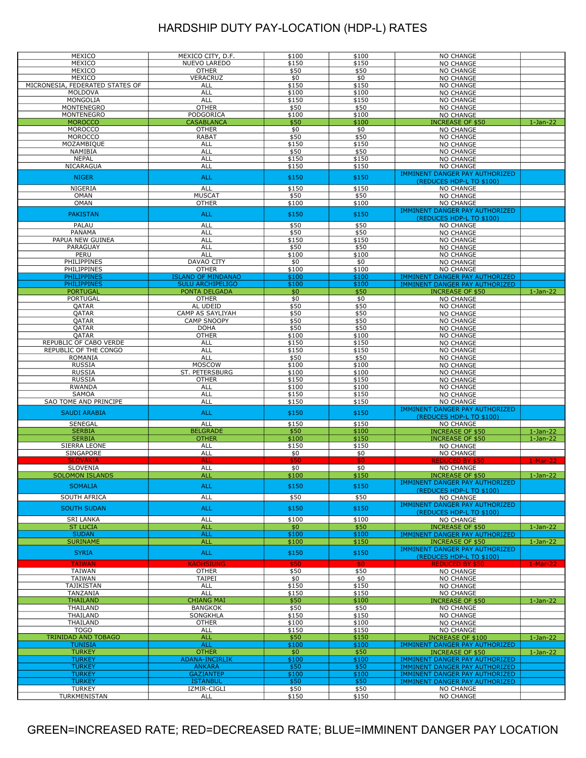| MEXICO                          |                           | \$100         | \$100         |                                       |            |
|---------------------------------|---------------------------|---------------|---------------|---------------------------------------|------------|
|                                 | MEXICO CITY, D.F.         |               |               | NO CHANGE                             |            |
| MEXICO                          | NUEVO LAREDO              | \$150         | \$150         | NO CHANGE                             |            |
| MEXICO                          | <b>OTHER</b>              | \$50          | \$50          | NO CHANGE                             |            |
| MEXICO                          | VERACRUZ                  | \$0           | \$0           | NO CHANGE                             |            |
| MICRONESIA, FEDERATED STATES OF | ALL                       | \$150         | \$150         | NO CHANGE                             |            |
| MOLDOVA                         | <b>ALL</b>                | \$100         | \$100         | NO CHANGE                             |            |
|                                 |                           |               |               |                                       |            |
| MONGOLIA                        | ALL                       | \$150         | \$150         | NO CHANGE                             |            |
| MONTENEGRO                      | <b>OTHER</b>              | \$50          | \$50          | NO CHANGE                             |            |
| MONTENEGRO                      | PODGORICA                 | \$100         | \$100         | NO CHANGE                             |            |
| <b>MOROCCO</b>                  | <b>CASABLANCA</b>         | \$50          | \$100         | <b>INCREASE OF \$50</b>               | $1-Jan-22$ |
| <b>MOROCCO</b>                  | <b>OTHER</b>              | \$0           | \$0           | NO CHANGE                             |            |
| <b>MOROCCO</b>                  | <b>RABAT</b>              | \$50          | \$50          | NO CHANGE                             |            |
|                                 |                           |               |               |                                       |            |
| MOZAMBIQUE                      | ALL                       | \$150         | \$150         | NO CHANGE                             |            |
| NAMIBIA                         | <b>ALL</b>                | \$50          | \$50          | NO CHANGE                             |            |
| <b>NEPAL</b>                    | ALL                       | \$150         | \$150         | NO CHANGE                             |            |
| NICARAGUA                       | <b>ALL</b>                | \$150         | \$150         | NO CHANGE                             |            |
|                                 |                           |               |               | IMMINENT DANGER PAY AUTHORIZED        |            |
| <b>NIGER</b>                    | <b>ALL</b>                | \$150         | \$150         | (REDUCES HDP-L TO \$100)              |            |
| NIGERIA                         | ALL                       | \$150         | \$150         |                                       |            |
|                                 |                           |               |               | <b>NO CHANGE</b>                      |            |
| OMAN                            | <b>MUSCAT</b>             | \$50          | \$50          | NO CHANGE                             |            |
| <b>OMAN</b>                     | <b>OTHER</b>              | \$100         | \$100         | NO CHANGE                             |            |
|                                 |                           |               |               | IMMINENT DANGER PAY AUTHORIZED        |            |
| <b>PAKISTAN</b>                 | <b>ALL</b>                | \$150         | \$150         | (REDUCES HDP-L TO \$100)              |            |
| PALAU                           | <b>ALL</b>                | \$50          | \$50          | NO CHANGE                             |            |
| PANAMA                          | <b>ALL</b>                | \$50          | \$50          |                                       |            |
|                                 |                           |               |               | NO CHANGE                             |            |
| PAPUA NEW GUINEA                | <b>ALL</b>                | \$150         | \$150         | NO CHANGE                             |            |
| PARAGUAY                        | <b>ALL</b>                | \$50          | \$50          | NO CHANGE                             |            |
| PERU                            | ALL                       | \$100         | \$100         | NO CHANGE                             |            |
| PHILIPPINES                     | DAVAO CITY                | \$0           | \$0           | NO CHANGE                             |            |
| PHILIPPINES                     | <b>OTHER</b>              | \$100         | \$100         | NO CHANGE                             |            |
| <b>PHILIPPINES</b>              | <b>ISLAND OF MINDANAO</b> | \$100         | \$100         | IMMINENT DANGER PAY AUTHORIZED        |            |
| <b>PHILIPPINES</b>              | <b>SULU ARCHIPELIGO</b>   | \$100         | \$100         |                                       |            |
|                                 |                           |               |               | IMMINENT DANGER PAY AUTHORIZED        |            |
| <b>PORTUGAL</b>                 | PONTA DELGADA             | \$0           | \$50          | <b>INCREASE OF \$50</b>               | $1-Jan-22$ |
| PORTUGAL                        | <b>OTHER</b>              | \$0           | \$0           | <b>NO CHANGE</b>                      |            |
| QATAR                           | AL UDEID                  | \$50          | \$50          | NO CHANGE                             |            |
| QATAR                           | CAMP AS SAYLIYAH          | \$50          | \$50          | NO CHANGE                             |            |
| QATAR                           | <b>CAMP SNOOPY</b>        | \$50          | \$50          | NO CHANGE                             |            |
| QATAR                           | <b>DOHA</b>               | \$50          | \$50          | NO CHANGE                             |            |
|                                 |                           | \$100         |               |                                       |            |
| QATAR                           | <b>OTHER</b>              |               | \$100         | NO CHANGE                             |            |
| REPUBLIC OF CABO VERDE          | ALL                       | \$150         | \$150         | NO CHANGE                             |            |
| REPUBLIC OF THE CONGO           | <b>ALL</b>                | \$150         | \$150         | NO CHANGE                             |            |
| ROMANIA                         | <b>ALL</b>                | \$50          | \$50          | NO CHANGE                             |            |
| <b>RUSSIA</b>                   | MOSCOW                    | \$100         | \$100         | NO CHANGE                             |            |
| <b>RUSSIA</b>                   | ST. PETERSBURG            | \$100         | \$100         | NO CHANGE                             |            |
| <b>RUSSIA</b>                   | <b>OTHER</b>              | \$150         | \$150         | NO CHANGE                             |            |
|                                 |                           |               |               |                                       |            |
| RWANDA                          | ALL                       | \$100         | \$100         | NO CHANGE                             |            |
| <b>SAMOA</b>                    | ALL                       | \$150         | \$150         | NO CHANGE                             |            |
| SAO TOME AND PRINCIPE           | <b>ALL</b>                | \$150         | \$150         | NO CHANGE                             |            |
|                                 | <b>ALL</b>                |               |               | IMMINENT DANGER PAY AUTHORIZED        |            |
| <b>SAUDI ARABIA</b>             |                           | \$150         | \$150         | (REDUCES HDP-L TO \$100)              |            |
| SENEGAL                         | ALL                       | \$150         | \$150         | <b>NO CHANGE</b>                      |            |
| <b>SERBIA</b>                   | <b>BELGRADE</b>           | \$50          | \$100         | <b>INCREASE OF \$50</b>               | $1-Jan-22$ |
| <b>SERBIA</b>                   | <b>OTHER</b>              | \$100         | \$150         | <b>INCREASE OF \$50</b>               |            |
|                                 |                           |               |               |                                       | $1-Jan-22$ |
| SIERRA LEONE                    | ALL                       | \$150         | \$150         | NO CHANGE                             |            |
| SINGAPORE                       | <b>ALL</b>                | \$0           | \$0           | <b>NO CHANGE</b>                      |            |
| <b>SLOVAKIA</b>                 | <b>ALL</b>                | \$50          | \$0           | <b>REDUCED BY \$50</b>                | $1-Mar-22$ |
| <b>SLOVENIA</b>                 | ALL                       | \$0           | \$0           | <b>NO CHANGE</b>                      |            |
| <b>SOLOMON ISLANDS</b>          | <b>ALL</b>                | \$100         | \$150         | <b>INCREASE OF \$50</b>               | $1-Jan-22$ |
|                                 |                           |               |               | <b>IMMINENT DANGER PAY AUTHORIZED</b> |            |
| <b>SOMALIA</b>                  | <b>ALL</b>                | \$150         | \$150         |                                       |            |
|                                 |                           |               | \$50          | (REDUCES HDP-L TO \$100)              |            |
| SOUTH AFRICA                    | ALL                       | \$50          |               | NO CHANGE                             |            |
| <b>SOUTH SUDAN</b>              | <b>ALL</b>                | \$150         | \$150         | <b>IMMINENT DANGER PAY AUTHORIZED</b> |            |
|                                 |                           |               |               | (REDUCES HDP-L TO \$100)              |            |
| <b>SRI LANKA</b>                | ALL                       | \$100         | \$100         | <b>NO CHANGE</b>                      |            |
| <b>ST LUCIA</b>                 | <b>ALL</b>                | \$0           | \$50          | <b>INCREASE OF \$50</b>               | $1-Jan-22$ |
| <b>SUDAN</b>                    | <b>ALL</b>                | \$100         | \$100         | IMMINENT DANGER PAY AUTHORIZED        |            |
| <b>SURINAME</b>                 | <b>ALL</b>                | \$100         | \$150         | <b>INCREASE OF \$50</b>               | $1-Jan-22$ |
|                                 |                           |               |               | <b>IMMINENT DANGER PAY AUTHORIZED</b> |            |
| <b>SYRIA</b>                    | <b>ALL</b>                | \$150         | \$150         |                                       |            |
|                                 |                           |               |               | (REDUCES HDP-L TO \$100)              |            |
| <b>TAIWAN</b>                   | <b>KAOHSIUNG</b>          | \$50          | \$0\$         | <b>REDUCED BY \$50</b>                | $1-Mar-22$ |
| <b>TAIWAN</b>                   | <b>OTHER</b>              | \$50          | \$50          | NO CHANGE                             |            |
| <b>TAIWAN</b>                   | <b>TAIPEI</b>             | \$0           | \$0           | NO CHANGE                             |            |
| TAJIKISTAN                      | ALL                       | \$150         | \$150         | NO CHANGE                             |            |
| TANZANIA                        |                           | \$150         | \$150         | NO CHANGE                             |            |
| <b>THAILAND</b>                 |                           |               |               | <b>INCREASE OF \$50</b>               | $1-Jan-22$ |
|                                 | ALL                       |               |               |                                       |            |
|                                 | <b>CHIANG MAI</b>         | \$50          | \$100         |                                       |            |
| THAILAND                        | <b>BANGKOK</b>            | \$50          | \$50          | NO CHANGE                             |            |
| THAILAND                        | SONGKHLA                  | \$150         | \$150         | <b>NO CHANGE</b>                      |            |
| THAILAND                        | <b>OTHER</b>              | \$100         | \$100         | NO CHANGE                             |            |
| <b>TOGO</b>                     | <b>ALL</b>                | \$150         | \$150         | NO CHANGE                             |            |
| <b>TRINIDAD AND TOBAGO</b>      | <b>ALL</b>                | \$50          | \$150         | <b>INCREASE OF \$100</b>              | $1-Jan-22$ |
| <b>TUNISIA</b>                  | <b>ALL</b>                | \$100         | \$100         | IMMINENT DANGER PAY AUTHORIZED        |            |
| <b>TURKEY</b>                   | <b>OTHER</b>              |               |               |                                       |            |
|                                 |                           | \$0           | \$50          | <b>INCREASE OF \$50</b>               | $1-Jan-22$ |
| <b>TURKEY</b>                   | <b>ADANA-INCIRLIK</b>     | \$100         | \$100         | IMMINENT DANGER PAY AUTHORIZED        |            |
| <b>TURKEY</b>                   | <b>ANKARA</b>             | \$50          | \$50          | IMMINENT DANGER PAY AUTHORIZED        |            |
| <b>TURKEY</b>                   | <b>GAZIANTEP</b>          | \$100         | \$100         | IMMINENT DANGER PAY AUTHORIZED        |            |
| <b>TURKEY</b>                   | <b>ISTANBUL</b>           | \$50          | \$50          | IMMINENT DANGER PAY AUTHORIZED        |            |
| <b>TURKEY</b><br>TURKMENISTAN   | IZMIR-CIGLI<br>ALL        | \$50<br>\$150 | \$50<br>\$150 | NO CHANGE<br>NO CHANGE                |            |